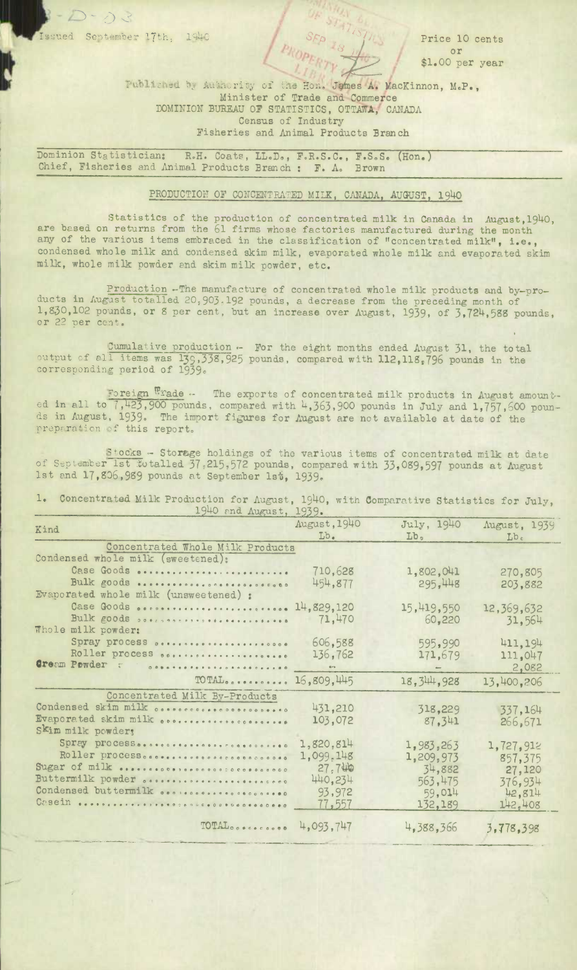or \$1.00 per year

Issued September 17th, 1940 SF<sub>P</sub> SF<sub>P</sub> <sup>143</sup>/1 Price 10 cents

 $D - 03$ 

I.-

Published by Authority of the Hon. James A. MacKinnon, M.P., Minister of Trade and Commerce **DOMINION** BUREAU OF STATISTICS, OTTAWA, CANADA Census of Industry Fisheries and Animal Products Branch

Dominion Statistician: R.H. Coats, LL.D., F.R.S.C., F.S.S. (Hon.) Chief, Fisheries and Animal Products Branch : F. A. Brown

## PRODUCTION OF CONCENTRATED MILK, CANADA, AUGUST, 1940

Statistics of the production of concentrated milk in Canada in August, 1940, are based on returns from the 61 firms whose factories manufactured during the month any of the various items embraced in the classification of "concentrated milk", **i.e.,**  condensed whole milk and condensed skim milk, evaporated whole milk and evaporated skim milk, whole milk powder and skim milk powder, etc.

Production -The manufacture of concentrated whole milk products and by-products in August totalled 20,903.192 pounds, a decrease from the preceding month of 1,830, 102 pounds, or 8 per cent, but an increase over August, 1939, of 3,724,588 pounds, or 22 per cent.

Cumulative production - For the eight months ended August 31, the total output of all items was 139,338,925 pounds, compared with 112,118,796 pounds in the corresponding period of 1939.

Foreign wrade — The exports of concentrated milk products in August amount ed in all to  $7,423,900$  pounds, compared with  $4,363,900$  pounds in July and 1,757,600 pounds in August, 1939. The import figures for August are not available at date of the preparation of this report.

3tocks — Storage holdings of the various items of concentrated milk at date of *September 1st totalled 37,215,572 pounds, compared with 33,089,597 pounds at August* 1st and 17,806,989 pounds at September 1st, 1939.

1. Concentrated Milk Production for August, 1940, with Comparative Statistics for July, 1940 and August, 1939.

| Kind                                                   | August, 1940<br>Lb. | July, 1940<br>Lb <sub>o</sub> | August, 1939<br>Lb <sub>c</sub> |
|--------------------------------------------------------|---------------------|-------------------------------|---------------------------------|
| Concentrated Whole Milk Products                       |                     |                               |                                 |
| Condensed whole milk (sweetened):                      |                     |                               |                                 |
| Case Goods                                             | 710,628             | 1,802,041                     | 270,805                         |
| Bulk goods                                             | 454,877             | 295.448                       | 203,882                         |
| Evaporated whole milk (unsweetened) :                  |                     |                               |                                 |
|                                                        |                     | 15,419,550                    | 12,369,632                      |
| Bulk goods soornannonoorteenererere                    | 71,470              | 60,220                        | 31,564                          |
| Whole milk powder:                                     |                     |                               |                                 |
| Spray process official and services and services       | 606,588             | 595,990                       | 411,194                         |
| Roller process sonoranon                               | 136,762             | 171,679                       | 111,047                         |
| Gream Powder r consecuences of consequences            |                     |                               | 2,082                           |
| $TOTAL_{0.0}$ $15,809,1115$                            |                     | 18, 344, 928                  | 13,400,206                      |
| Concentrated Milk By-Products                          |                     |                               |                                 |
| Condensed skim milk correccoorreccoorrecto             | 431,210             | 318,229                       | 337.164                         |
| Evaporated skim milk observes                          | 103,072             | 87.341                        | 266,671                         |
| Skim milk powders                                      |                     |                               |                                 |
| Spray process                                          | 1,820,814           | 1,983,263                     | 1,727,912                       |
| Roller processos                                       | 1,099,148           | 1,209,973                     | 857,375                         |
| Sugar of milk                                          | 27.740              | 34,882                        | 27,120                          |
| Buttermilk powder official continuations and a control | 440,234             | 563,475                       | 376,934                         |
| Condensed but termilk osossossossossossossos           | 93,972              | 59,014                        | 42,814                          |
|                                                        | 77,557              | 132,189                       | 142.408                         |
|                                                        |                     |                               |                                 |
| TOTAL 4,093,747                                        |                     | 4,388,366                     | 3,778,398                       |
|                                                        |                     |                               |                                 |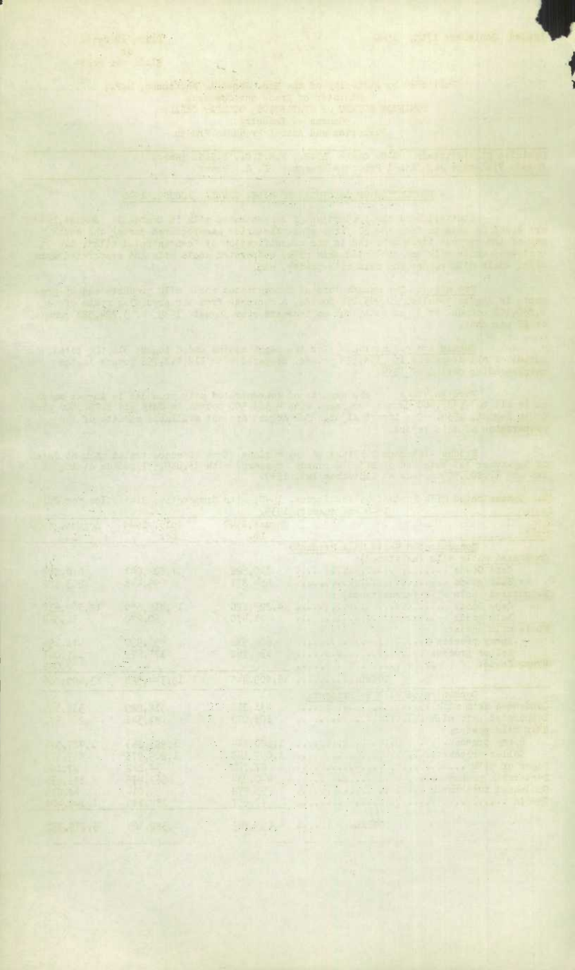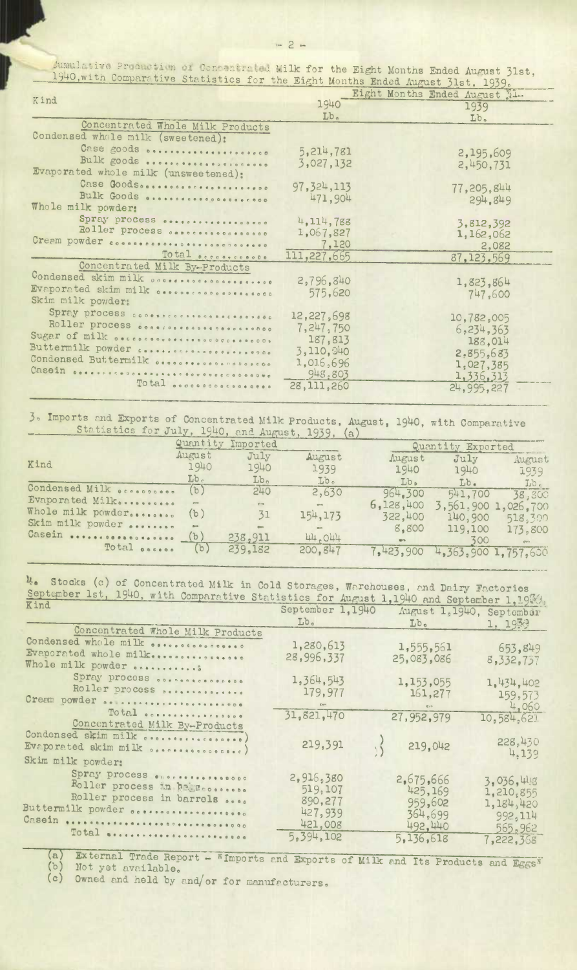Jumulative Prednation of Concentrated Wilk for the Eight Months Ended August 31st, 1940, with Comparative Statistics for the Eight Months Ended August 31st, 1939.

| Kind                                                                                                                     | Eight Months Ended August 31-     |                                   |  |
|--------------------------------------------------------------------------------------------------------------------------|-----------------------------------|-----------------------------------|--|
|                                                                                                                          | 1940                              | 1939                              |  |
|                                                                                                                          | Lb <sub>o</sub>                   | Lb.                               |  |
| Concentrated Whole Milk Products<br>Condensed whole milk (sweetened):                                                    |                                   |                                   |  |
| Case goods<br>Bulk goods                                                                                                 | 5,214,781<br>3,027,132            | 2,195,609                         |  |
| Evaporated whole milk (unsweetened):                                                                                     |                                   | 2,450,731                         |  |
| Case Goodson<br>Bulk Goods                                                                                               | 97, 324, 113<br>471,904           | 77,205,844<br>294.849             |  |
| Whole milk powder:                                                                                                       |                                   |                                   |  |
| Spray process essessessessesses<br>Roller process concessed or a books                                                   | 4,114,788<br>1,067,827            | 3,812,392<br>1,162,062            |  |
| Cream powder cooscoscoscoscoscoscoscoscos                                                                                | 7,120                             | 2,082                             |  |
| Total occossesses                                                                                                        | 111,227,665                       | 87,123,569                        |  |
| Concentrated Milk By-Products                                                                                            |                                   |                                   |  |
| Condensed skim milk occossoccessoccessocce<br>Evaporated skim milk ossessessessessesses<br>Skim milk powder:             | 2,796,840<br>575,620              | 1,823,864<br>747,600              |  |
| Spray process consecuentes observessed<br>Roller process occasions assesses<br>Sugar of milk occassoccesses cocosessoons | 12,227,698<br>7,247,750           | 10,782,005<br>6,234,363           |  |
| Buttermilk powder correctorsessessesses<br>Condensed Buttermilk occossessessessesses                                     | 187.813<br>3,110,040<br>1,016,696 | 188.014<br>2.855,683<br>1,027,385 |  |
| Casein concercacoreserante accessoriane de<br>Total <b><i>ecocoooccesseres</i></b>                                       | 948.803<br>28, 111, 260           | 1,336,313<br>24,995,227           |  |

3. Imports and Exports of Concentrated Milk Products, August, 1940, with Comparative<br>Statistics for July, 1940, and August, 1939, (a)

| Quantity<br>Imported       |                |                          | Quantity Exported |                 |                     |                       |
|----------------------------|----------------|--------------------------|-------------------|-----------------|---------------------|-----------------------|
| Kind                       | August<br>1940 | July<br>1940             | August<br>1939    | August<br>1940  | July<br>1940        | August<br>1939        |
|                            | $Lb -$         | Lb <sub>0</sub>          | Lb <sub>o</sub>   | Lb <sub>o</sub> | Lb.                 | $J_{\nu}b_{\epsilon}$ |
| Condensed Milk occessesses | (b)            | 240                      | 2,630             | 964.300         | 541,700             | 38,300                |
| Evaporated Milk            |                | $\mathbb{C}^{n\times n}$ | $rac{1}{2}$       | 6,128,400       | 3,561,900 1,026,700 |                       |
| Whole milk powder          | (b)            | 31                       | 154, 173          | 322,400         | 140,900             | 518,300               |
| Skim milk powder<br>Casein |                |                          |                   | 8,800           | 119,100             | 173,800               |
|                            | (b)            | 238,911                  | 44.044            | <b>WO</b>       | 300                 | <b>CHY</b>            |
| Total <b>person</b>        | [b]            | 239,182                  | 200.847           | 7.423.900       | 4,363,900 1,757,600 |                       |

4. Stocks (c) of Concentrated Milk in Cold Storages, Warehouses, and Dairy Factories<br>September 1st, 1940, with Comparative Statistics for August 1,1940 and September 1,1959,<br>September 1,1940 August 1,1940, September

|                                                                                                                                                             | Lb.                                                                | $\frac{1}{2}$ and $\frac{1}{2}$ and $\frac{1}{2}$ and $\frac{1}{2}$ and $\frac{1}{2}$ and $\frac{1}{2}$<br>Lb. | 1.1953                                                                  |
|-------------------------------------------------------------------------------------------------------------------------------------------------------------|--------------------------------------------------------------------|----------------------------------------------------------------------------------------------------------------|-------------------------------------------------------------------------|
| Concentrated Whole Milk Products<br>Condensed whole milk ossossessessesses<br>Evaporated whole milk<br>Whole milk powder ;                                  | 1,280,613<br>28,996,337                                            | 1,555,561<br>25,083,086                                                                                        | 653,849<br>8,332,737                                                    |
| Spray process<br>Roller process<br>Cream powder second-occasion-accessed                                                                                    | 1,364,543<br>179,977                                               | 1,153,055<br>161,277<br>eva.                                                                                   | 1,434,402<br>159,573<br>4,060                                           |
| Total screenerseresses<br>Concentrated Milk By-Products<br>Condensed skim milk concerencescored                                                             | 31,821,470                                                         | 27,952,979                                                                                                     | 10,584,621                                                              |
| Evaporated skim milk ossessessessesese)<br>Skim milk powder:                                                                                                | 219,391                                                            | 219,042                                                                                                        | 228,430<br>4.139                                                        |
| Spray process encrease<br>Roller process in Pastrocesses<br>Roller process in barrels<br>Buttermilk powder ossessossessessesses<br>Casein<br>Total <i>a</i> | 2,916,380<br>519,107<br>890,277<br>427,939<br>421,008<br>5,394,102 | 2,675,666<br>425,169<br>959,602<br>364,699<br>492,440<br>5,136,618                                             | 3,036,4413<br>1,210,855<br>1,184,420<br>992.114<br>565,962<br>7,222,368 |

(a) External Trade Report - "Imports and Export<br>(b) Not yet available.<br>(c) Owned and held by and/or for manufacturers. External Trade Report - "Imports and Exports of Milk and Its Products and Eggs"